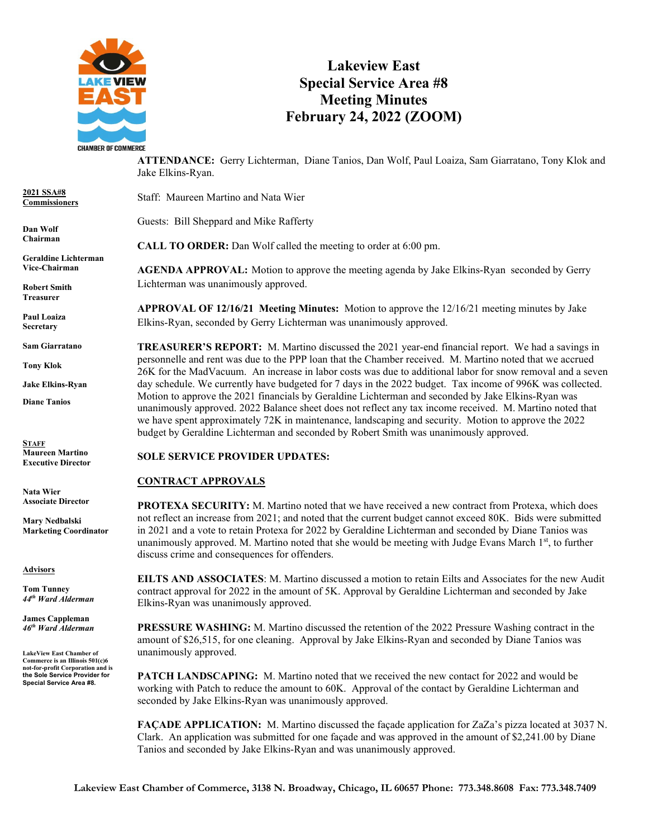

## **Lakeview East Special Service Area #8 Meeting Minutes February 24, 2022 (ZOOM)**

**ATTENDANCE:** Gerry Lichterman, Diane Tanios, Dan Wolf, Paul Loaiza, Sam Giarratano, Tony Klok and Jake Elkins-Ryan.

**2021 SSA#8 Commissioners**

**Dan Wolf Chairman**

**Geraldine Lichterman Vice-Chairman**

**Robert Smith Treasurer**

**Paul Loaiza Secretary**

**Sam Giarratano** 

**Tony Klok**

**Jake Elkins-Ryan**

**Diane Tanios**

**STAFF Maureen Martino Executive Director**

**Nata Wier Associate Director**

**Mary Nedbalski Marketing Coordinator**

**Advisors**

**Tom Tunney** *44th Ward Alderman*

**James Cappleman** *46th Ward Alderman*

**LakeView East Chamber of Commerce is an Illinois 501(c)6 not-for-profit Corporation and is the Sole Service Provider for Special Service Area #8.**

Staff: Maureen Martino and Nata Wier

Guests: Bill Sheppard and Mike Rafferty

**CALL TO ORDER:** Dan Wolf called the meeting to order at 6:00 pm.

**AGENDA APPROVAL:** Motion to approve the meeting agenda by Jake Elkins-Ryan seconded by Gerry Lichterman was unanimously approved.

**APPROVAL OF 12/16/21 Meeting Minutes:** Motion to approve the 12/16/21 meeting minutes by Jake Elkins-Ryan, seconded by Gerry Lichterman was unanimously approved.

**TREASURER'S REPORT:** M. Martino discussed the 2021 year-end financial report. We had a savings in personnelle and rent was due to the PPP loan that the Chamber received. M. Martino noted that we accrued 26K for the MadVacuum. An increase in labor costs was due to additional labor for snow removal and a seven day schedule. We currently have budgeted for 7 days in the 2022 budget. Tax income of 996K was collected. Motion to approve the 2021 financials by Geraldine Lichterman and seconded by Jake Elkins-Ryan was unanimously approved. 2022 Balance sheet does not reflect any tax income received. M. Martino noted that we have spent approximately 72K in maintenance, landscaping and security. Motion to approve the 2022 budget by Geraldine Lichterman and seconded by Robert Smith was unanimously approved.

## **SOLE SERVICE PROVIDER UPDATES:**

## **CONTRACT APPROVALS**

**PROTEXA SECURITY:** M. Martino noted that we have received a new contract from Protexa, which does not reflect an increase from 2021; and noted that the current budget cannot exceed 80K. Bids were submitted in 2021 and a vote to retain Protexa for 2022 by Geraldine Lichterman and seconded by Diane Tanios was unanimously approved. M. Martino noted that she would be meeting with Judge Evans March  $1<sup>st</sup>$ , to further discuss crime and consequences for offenders.

**EILTS AND ASSOCIATES**: M. Martino discussed a motion to retain Eilts and Associates for the new Audit contract approval for 2022 in the amount of 5K. Approval by Geraldine Lichterman and seconded by Jake Elkins-Ryan was unanimously approved.

**PRESSURE WASHING:** M. Martino discussed the retention of the 2022 Pressure Washing contract in the amount of \$26,515, for one cleaning. Approval by Jake Elkins-Ryan and seconded by Diane Tanios was unanimously approved.

**PATCH LANDSCAPING:** M. Martino noted that we received the new contact for 2022 and would be working with Patch to reduce the amount to 60K. Approval of the contact by Geraldine Lichterman and seconded by Jake Elkins-Ryan was unanimously approved.

**FAÇADE APPLICATION:** M. Martino discussed the façade application for ZaZa's pizza located at 3037 N. Clark. An application was submitted for one façade and was approved in the amount of \$2,241.00 by Diane Tanios and seconded by Jake Elkins-Ryan and was unanimously approved.